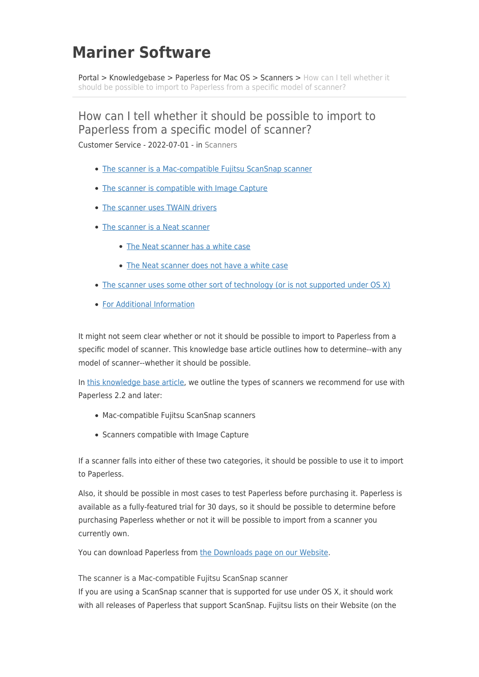# **Mariner Software**

[Portal](https://marinersoftware.deskpro.com/) > [Knowledgebase](https://marinersoftware.deskpro.com/kb) > [Paperless for Mac OS](https://marinersoftware.deskpro.com/kb/paperless-for-mac-os) > [Scanners](https://marinersoftware.deskpro.com/kb/scanners) > [How can I tell whether it](https://marinersoftware.deskpro.com/kb/articles/how-can-i-tell-whether-it-should-be-possible-to-import-to-paperless-from-a-specific-model-of-s) [should be possible to import to Paperless from a specific model of scanner?](https://marinersoftware.deskpro.com/kb/articles/how-can-i-tell-whether-it-should-be-possible-to-import-to-paperless-from-a-specific-model-of-s)

# How can I tell whether it should be possible to import to Paperless from a specific model of scanner?

<span id="page-0-1"></span>Customer Service - 2022-07-01 - in [Scanners](https://marinersoftware.deskpro.com/kb/scanners)

- [The scanner is a Mac-compatible Fujitsu ScanSnap scanner](#page-0-0)
- [The scanner is compatible with Image Capture](#page-1-0)
- [The scanner uses TWAIN drivers](#page-1-1)
- [The scanner is a Neat scanner](#page-1-2)
	- [The Neat scanner has a white case](#page-2-0)
	- [The Neat scanner does not have a white case](#page-2-1)
- [The scanner uses some other sort of technology \(or is not supported under OS X\)](#page-2-2)
- [For Additional Information](#page-2-3)

It might not seem clear whether or not it should be possible to import to Paperless from a specific model of scanner. This knowledge base article outlines how to determine--with any model of scanner--whether it should be possible.

In [this knowledge base article,](http://marinersoftware.corphelp.com/kb_article.php?ref=9902-QETX-1117) we outline the types of scanners we recommend for use with Paperless 2.2 and later:

- Mac-compatible Fujitsu ScanSnap scanners
- Scanners compatible with Image Capture

If a scanner falls into either of these two categories, it should be possible to use it to import to Paperless.

Also, it should be possible in most cases to test Paperless before purchasing it. Paperless is available as a fully-featured trial for 30 days, so it should be possible to determine before purchasing Paperless whether or not it will be possible to import from a scanner you currently own.

You can download Paperless from [the Downloads page on our Website](http://www.marinersoftware.com/download/).

<span id="page-0-0"></span>The scanner is a Mac-compatible Fujitsu ScanSnap scanner

If you are using a ScanSnap scanner that is supported for use under OS X, it should work with all releases of Paperless that support ScanSnap. Fujitsu lists on their Website (on the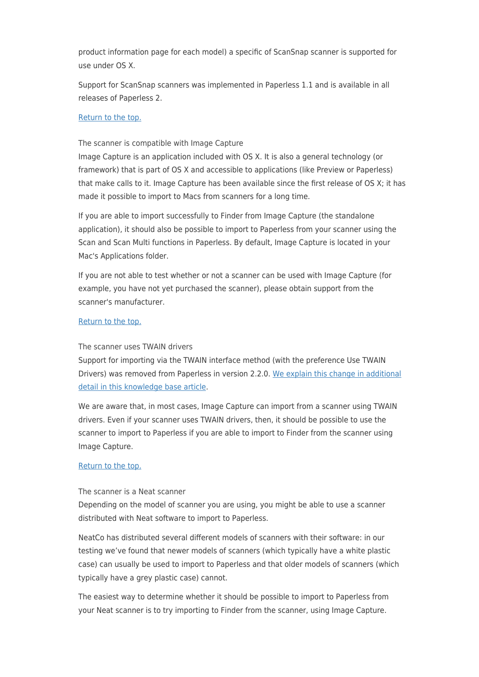product information page for each model) a specific of ScanSnap scanner is supported for use under OS X.

Support for ScanSnap scanners was implemented in Paperless 1.1 and is available in all releases of Paperless 2.

#### [Return to the top.](#page-0-1)

<span id="page-1-0"></span>The scanner is compatible with Image Capture

Image Capture is an application included with OS X. It is also a general technology (or framework) that is part of OS X and accessible to applications (like Preview or Paperless) that make calls to it. Image Capture has been available since the first release of OS X; it has made it possible to import to Macs from scanners for a long time.

If you are able to import successfully to Finder from Image Capture (the standalone application), it should also be possible to import to Paperless from your scanner using the Scan and Scan Multi functions in Paperless. By default, Image Capture is located in your Mac's Applications folder.

If you are not able to test whether or not a scanner can be used with Image Capture (for example, you have not yet purchased the scanner), please obtain support from the scanner's manufacturer.

#### [Return to the top.](#page-0-1)

## <span id="page-1-1"></span>The scanner uses TWAIN drivers

Support for importing via the TWAIN interface method (with the preference Use TWAIN Drivers) was removed from Paperless in version 2.2.0. [We explain this change in additional](http://marinersoftware.corphelp.com/kb_article.php?ref=4419-QYON-9166) [detail in this knowledge base article](http://marinersoftware.corphelp.com/kb_article.php?ref=4419-QYON-9166).

We are aware that, in most cases, Image Capture can import from a scanner using TWAIN drivers. Even if your scanner uses TWAIN drivers, then, it should be possible to use the scanner to import to Paperless if you are able to import to Finder from the scanner using Image Capture.

#### [Return to the top.](#page-0-1)

<span id="page-1-2"></span>The scanner is a Neat scanner

Depending on the model of scanner you are using, you might be able to use a scanner distributed with Neat software to import to Paperless.

NeatCo has distributed several different models of scanners with their software: in our testing we've found that newer models of scanners (which typically have a white plastic case) can usually be used to import to Paperless and that older models of scanners (which typically have a grey plastic case) cannot.

The easiest way to determine whether it should be possible to import to Paperless from your Neat scanner is to try importing to Finder from the scanner, using Image Capture.